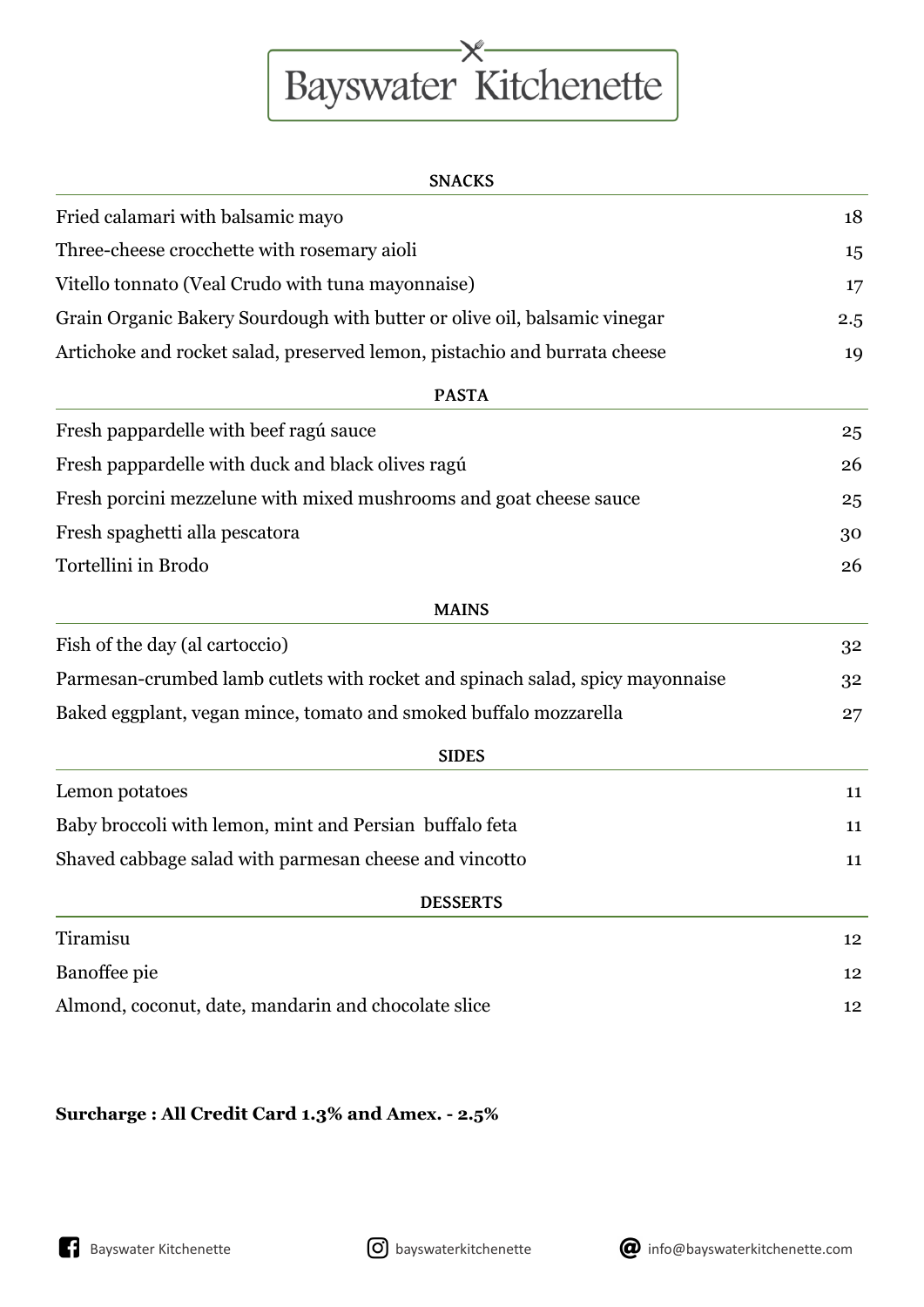## Bayswater Kitchenette

| Fried calamari with balsamic mayo                                             | 18  |
|-------------------------------------------------------------------------------|-----|
| Three-cheese crocchette with rosemary aioli                                   | 15  |
| Vitello tonnato (Veal Crudo with tuna mayonnaise)                             | 17  |
| Grain Organic Bakery Sourdough with butter or olive oil, balsamic vinegar     | 2.5 |
| Artichoke and rocket salad, preserved lemon, pistachio and burrata cheese     | 19  |
| <b>PASTA</b>                                                                  |     |
| Fresh pappardelle with beef ragú sauce                                        | 25  |
| Fresh pappardelle with duck and black olives ragú                             | 26  |
| Fresh porcini mezzelune with mixed mushrooms and goat cheese sauce            | 25  |
| Fresh spaghetti alla pescatora                                                | 30  |
| Tortellini in Brodo                                                           | 26  |
| <b>MAINS</b>                                                                  |     |
| Fish of the day (al cartoccio)                                                | 32  |
| Parmesan-crumbed lamb cutlets with rocket and spinach salad, spicy mayonnaise | 32  |
| Baked eggplant, vegan mince, tomato and smoked buffalo mozzarella             | 27  |
| <b>SIDES</b>                                                                  |     |
| Lemon potatoes                                                                | 11  |
| Baby broccoli with lemon, mint and Persian buffalo feta                       | 11  |
| Shaved cabbage salad with parmesan cheese and vincotto                        | 11  |
| <b>DESSERTS</b>                                                               |     |
| Tiramisu                                                                      | 12  |
| Banoffee pie                                                                  | 12  |
| Almond, coconut, date, mandarin and chocolate slice                           | 12  |

## **Surcharge : All Credit Card 1.3% and Amex. - 2.5%**